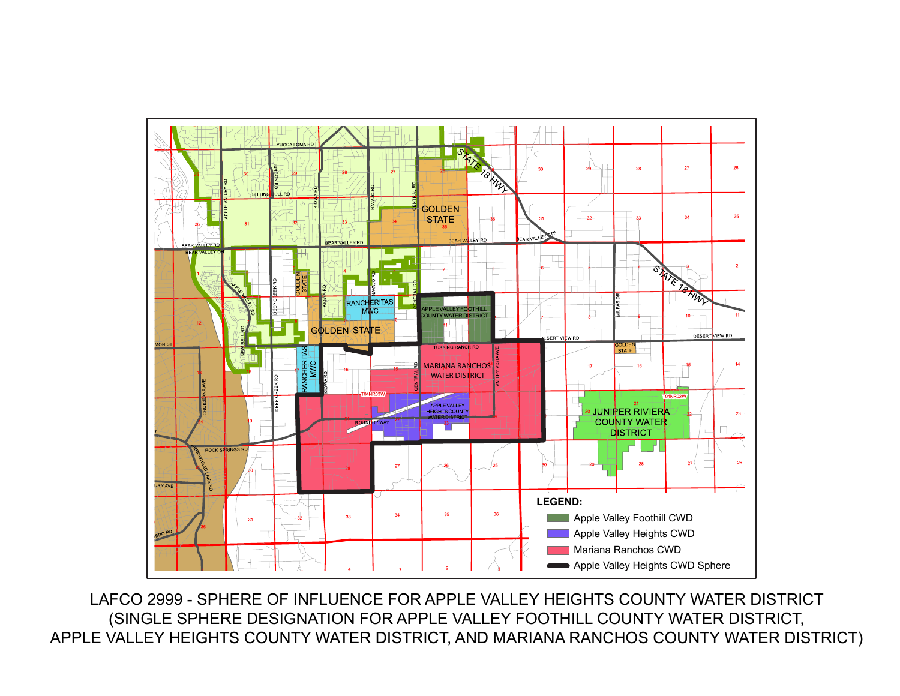

LAFCO 2999 - SPHERE OF INFLUENCE FOR APPLE VALLEY HEIGHTS COUNTY WATER DISTRICT (SINGLE SPHERE DESIGNATION FOR APPLE VALLEY FOOTHILL COUNTY WATER DISTRICT, APPLE VALLEY HEIGHTS COUNTY WATER DISTRICT, AND MARIANA RANCHOS COUNTY WATER DISTRICT)